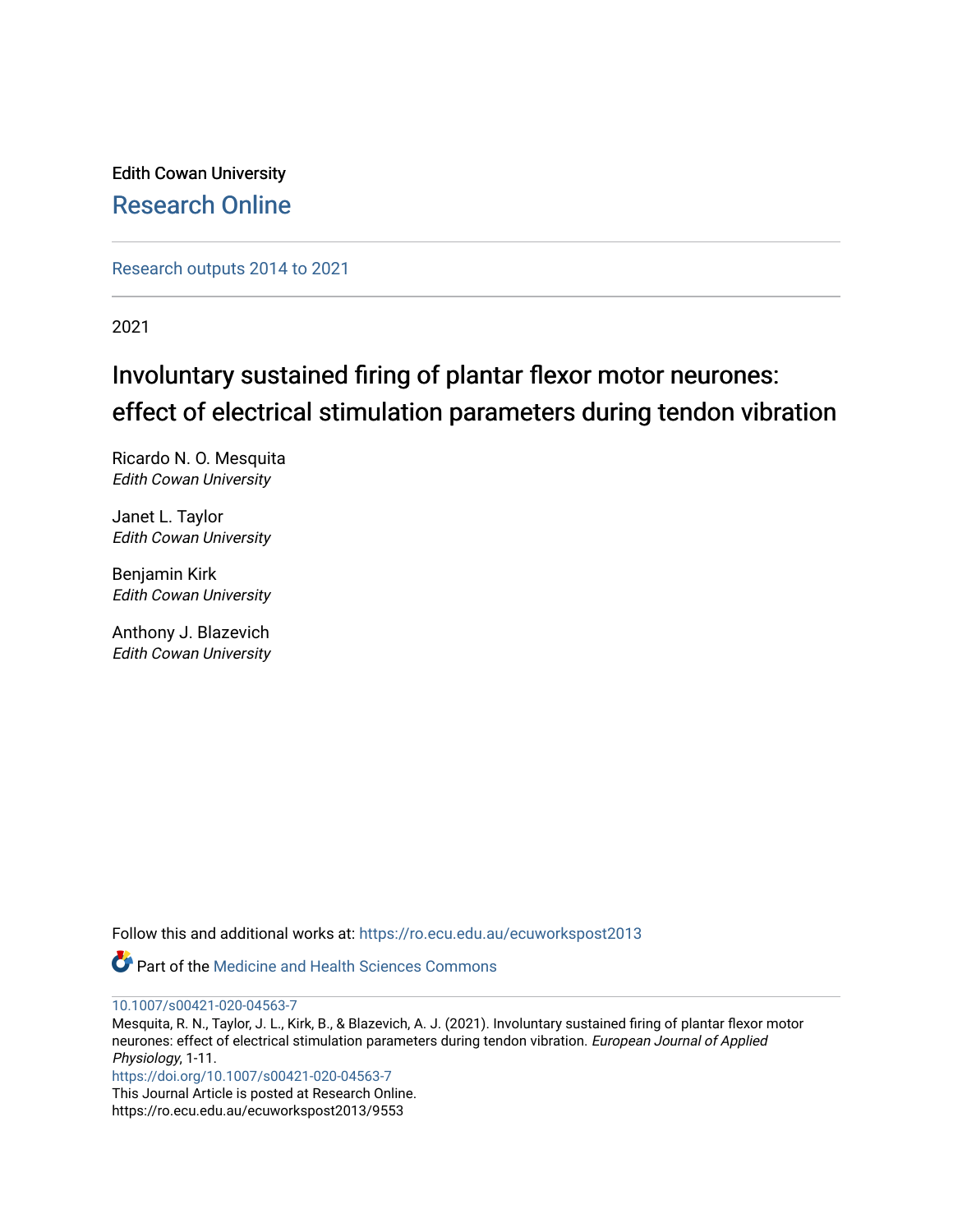Edith Cowan University [Research Online](https://ro.ecu.edu.au/) 

[Research outputs 2014 to 2021](https://ro.ecu.edu.au/ecuworkspost2013) 

2021

# Involuntary sustained firing of plantar flexor motor neurones: effect of electrical stimulation parameters during tendon vibration

Ricardo N. O. Mesquita Edith Cowan University

Janet L. Taylor Edith Cowan University

Benjamin Kirk Edith Cowan University

Anthony J. Blazevich Edith Cowan University

Follow this and additional works at: [https://ro.ecu.edu.au/ecuworkspost2013](https://ro.ecu.edu.au/ecuworkspost2013?utm_source=ro.ecu.edu.au%2Fecuworkspost2013%2F9553&utm_medium=PDF&utm_campaign=PDFCoverPages) 

**Part of the Medicine and Health Sciences Commons** 

[10.1007/s00421-020-04563-7](http://dx.doi.org/10.1007/s00421-020-04563-7)

Mesquita, R. N., Taylor, J. L., Kirk, B., & Blazevich, A. J. (2021). Involuntary sustained firing of plantar flexor motor neurones: effect of electrical stimulation parameters during tendon vibration. European Journal of Applied Physiology, 1-11.

<https://doi.org/10.1007/s00421-020-04563-7>

This Journal Article is posted at Research Online. https://ro.ecu.edu.au/ecuworkspost2013/9553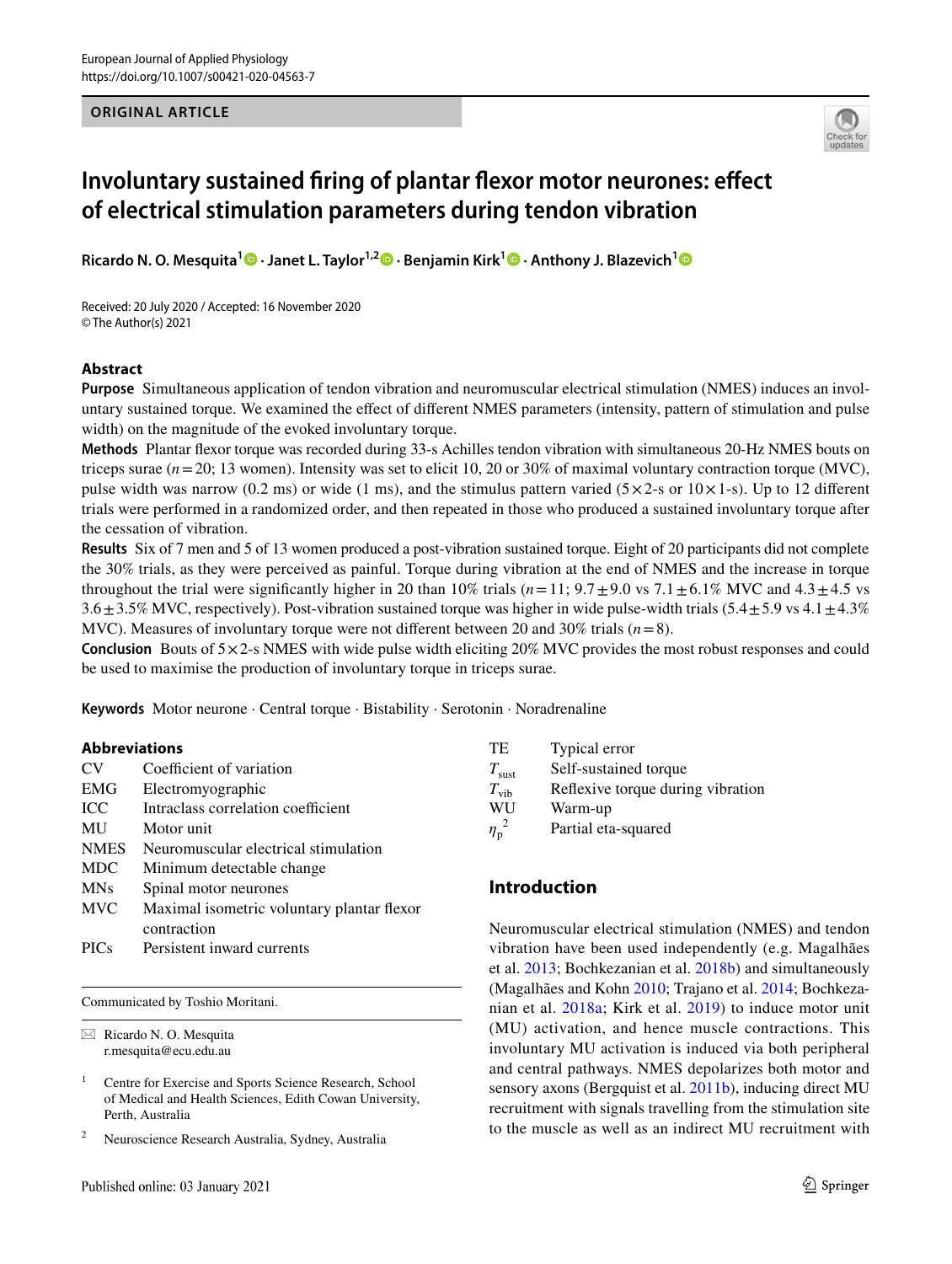#### **ORIGINAL ARTICLE**



# **Involuntary sustained fring of plantar fexor motor neurones: efect of electrical stimulation parameters during tendon vibration**

**Ricardo N. O. Mesquita1 · Janet L. Taylor1,2 · Benjamin Kirk1  [·](http://orcid.org/0000-0002-1189-2281) Anthony J. Blazevich[1](http://orcid.org/0000-0003-1664-1614)**

Received: 20 July 2020 / Accepted: 16 November 2020 © The Author(s) 2021

#### **Abstract**

**Purpose** Simultaneous application of tendon vibration and neuromuscular electrical stimulation (NMES) induces an involuntary sustained torque. We examined the efect of diferent NMES parameters (intensity, pattern of stimulation and pulse width) on the magnitude of the evoked involuntary torque.

**Methods** Plantar fexor torque was recorded during 33-s Achilles tendon vibration with simultaneous 20-Hz NMES bouts on triceps surae (*n*=20; 13 women). Intensity was set to elicit 10, 20 or 30% of maximal voluntary contraction torque (MVC), pulse width was narrow (0.2 ms) or wide (1 ms), and the stimulus pattern varied  $(5 \times 2$ -s or  $10 \times 1$ -s). Up to 12 different trials were performed in a randomized order, and then repeated in those who produced a sustained involuntary torque after the cessation of vibration.

**Results** Six of 7 men and 5 of 13 women produced a post-vibration sustained torque. Eight of 20 participants did not complete the 30% trials, as they were perceived as painful. Torque during vibration at the end of NMES and the increase in torque throughout the trial were significantly higher in 20 than 10% trials ( $n=11$ ;  $9.7\pm9.0$  vs  $7.1\pm6.1\%$  MVC and  $4.3\pm4.5$  vs  $3.6 \pm 3.5\%$  MVC, respectively). Post-vibration sustained torque was higher in wide pulse-width trials (5.4 $\pm$ 5.9 vs 4.1 $\pm$ 4.3%) MVC). Measures of involuntary torque were not diferent between 20 and 30% trials (*n*=8).

**Conclusion** Bouts of  $5 \times 2$ -s NMES with wide pulse width eliciting 20% MVC provides the most robust responses and could be used to maximise the production of involuntary torque in triceps surae.

**Keywords** Motor neurone · Central torque · Bistability · Serotonin · Noradrenaline

#### **Abbreviations**

| <b>CV</b>   | Coefficient of variation                   |
|-------------|--------------------------------------------|
| <b>EMG</b>  | Electromyographic                          |
| ICC         | Intraclass correlation coefficient         |
| MU          | Motor unit                                 |
| <b>NMES</b> | Neuromuscular electrical stimulation       |
| <b>MDC</b>  | Minimum detectable change                  |
| <b>MNs</b>  | Spinal motor neurones                      |
| <b>MVC</b>  | Maximal isometric voluntary plantar flexor |
|             | contraction                                |
| <b>PICs</b> | Persistent inward currents                 |

Communicated by Toshio Moritani.

 $\boxtimes$  Ricardo N. O. Mesquita r.mesquita@ecu.edu.au

<sup>1</sup> Centre for Exercise and Sports Science Research, School of Medical and Health Sciences, Edith Cowan University, Perth, Australia

<sup>2</sup> Neuroscience Research Australia, Sydney, Australia

TE Typical error *T*<sub>sust</sub> Self-sustained torque *T*<sub>vib</sub> Reflexive torque during vibration<br>WU Warm-up Warm-up  $\eta_{\rm p}^{\;\;2}$ Partial eta-squared

## **Introduction**

Neuromuscular electrical stimulation (NMES) and tendon vibration have been used independently (e.g. Magalhães et al. [2013](#page-10-0); Bochkezanian et al. [2018b](#page-9-0)) and simultaneously (Magalhães and Kohn [2010;](#page-10-1) Trajano et al. [2014](#page-11-0); Bochkezanian et al. [2018a](#page-9-1); Kirk et al. [2019\)](#page-10-2) to induce motor unit (MU) activation, and hence muscle contractions. This involuntary MU activation is induced via both peripheral and central pathways. NMES depolarizes both motor and sensory axons (Bergquist et al. [2011b\)](#page-9-2), inducing direct MU recruitment with signals travelling from the stimulation site to the muscle as well as an indirect MU recruitment with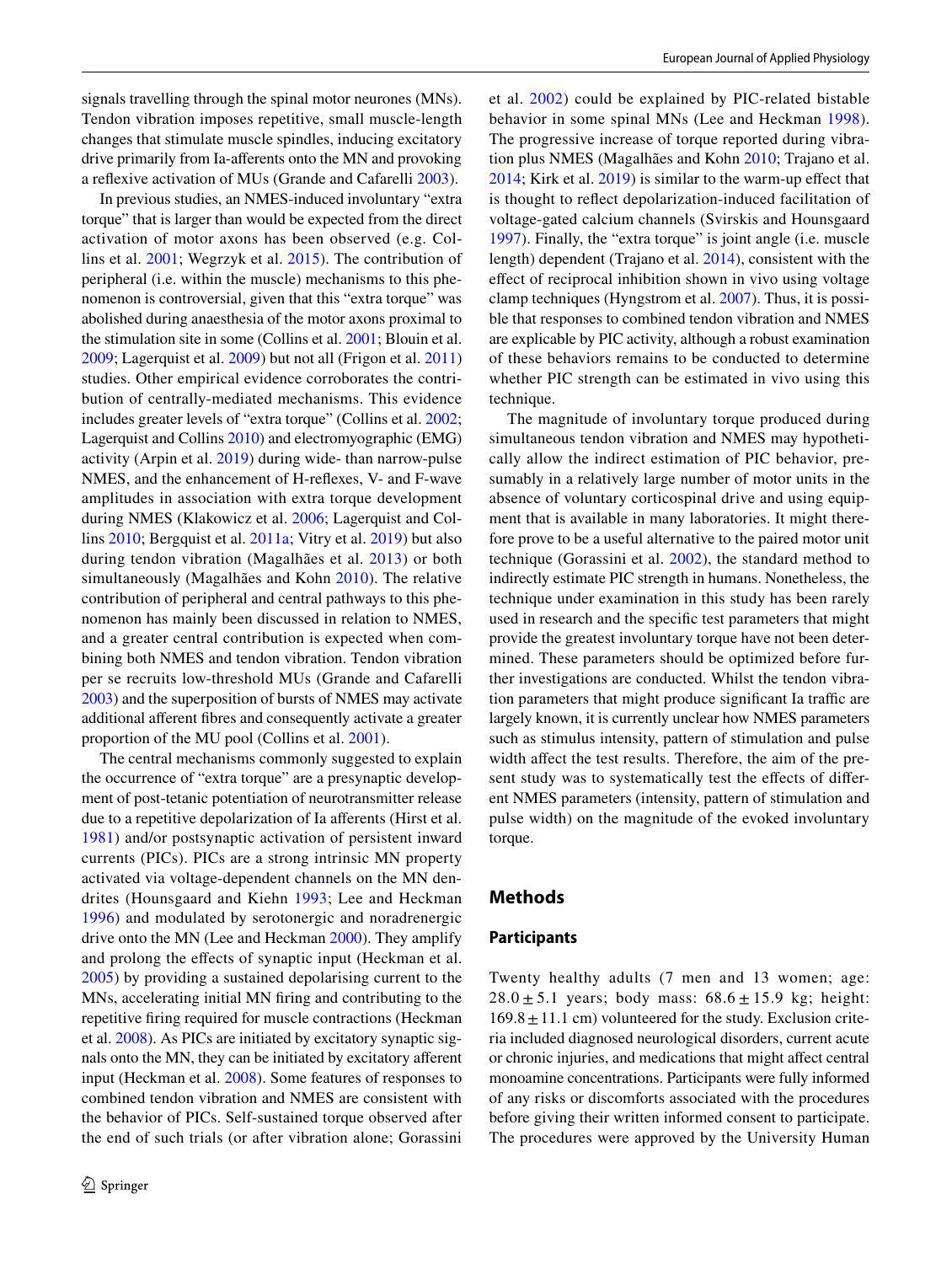signals travelling through the spinal motor neurones (MNs). Tendon vibration imposes repetitive, small muscle-length changes that stimulate muscle spindles, inducing excitatory drive primarily from Ia-aferents onto the MN and provoking a refexive activation of MUs (Grande and Cafarelli [2003](#page-10-3)).

In previous studies, an NMES-induced involuntary "extra torque" that is larger than would be expected from the direct activation of motor axons has been observed (e.g. Collins et al. [2001;](#page-10-4) Wegrzyk et al. [2015](#page-11-1)). The contribution of peripheral (i.e. within the muscle) mechanisms to this phenomenon is controversial, given that this "extra torque" was abolished during anaesthesia of the motor axons proximal to the stimulation site in some (Collins et al. [2001](#page-10-4); Blouin et al. [2009](#page-9-3); Lagerquist et al. [2009](#page-10-5)) but not all (Frigon et al. [2011\)](#page-10-6) studies. Other empirical evidence corroborates the contribution of centrally-mediated mechanisms. This evidence includes greater levels of "extra torque" (Collins et al. [2002](#page-10-7); Lagerquist and Collins [2010](#page-10-8)) and electromyographic (EMG) activity (Arpin et al. [2019\)](#page-9-4) during wide- than narrow-pulse NMES, and the enhancement of H-refexes, V- and F-wave amplitudes in association with extra torque development during NMES (Klakowicz et al. [2006;](#page-10-9) Lagerquist and Collins [2010](#page-10-8); Bergquist et al. [2011a](#page-9-5); Vitry et al. [2019\)](#page-11-2) but also during tendon vibration (Magalhães et al. [2013\)](#page-10-0) or both simultaneously (Magalhães and Kohn [2010\)](#page-10-1). The relative contribution of peripheral and central pathways to this phenomenon has mainly been discussed in relation to NMES, and a greater central contribution is expected when combining both NMES and tendon vibration. Tendon vibration per se recruits low-threshold MUs (Grande and Cafarelli [2003\)](#page-10-3) and the superposition of bursts of NMES may activate additional aferent fbres and consequently activate a greater proportion of the MU pool (Collins et al. [2001](#page-10-4)).

The central mechanisms commonly suggested to explain the occurrence of "extra torque" are a presynaptic development of post-tetanic potentiation of neurotransmitter release due to a repetitive depolarization of Ia aferents (Hirst et al. [1981\)](#page-10-10) and/or postsynaptic activation of persistent inward currents (PICs). PICs are a strong intrinsic MN property activated via voltage-dependent channels on the MN dendrites (Hounsgaard and Kiehn [1993](#page-10-11); Lee and Heckman [1996\)](#page-10-12) and modulated by serotonergic and noradrenergic drive onto the MN (Lee and Heckman [2000\)](#page-10-13). They amplify and prolong the efects of synaptic input (Heckman et al. [2005](#page-10-14)) by providing a sustained depolarising current to the MNs, accelerating initial MN fring and contributing to the repetitive fring required for muscle contractions (Heckman et al. [2008](#page-10-15)). As PICs are initiated by excitatory synaptic signals onto the MN, they can be initiated by excitatory aferent input (Heckman et al. [2008\)](#page-10-15). Some features of responses to combined tendon vibration and NMES are consistent with the behavior of PICs. Self-sustained torque observed after the end of such trials (or after vibration alone; Gorassini et al. [2002\)](#page-10-16) could be explained by PIC-related bistable behavior in some spinal MNs (Lee and Heckman [1998](#page-10-17)). The progressive increase of torque reported during vibration plus NMES (Magalhães and Kohn [2010;](#page-10-1) Trajano et al. [2014](#page-11-0); Kirk et al. [2019\)](#page-10-2) is similar to the warm-up efect that is thought to refect depolarization-induced facilitation of voltage-gated calcium channels (Svirskis and Hounsgaard [1997](#page-11-3)). Finally, the "extra torque" is joint angle (i.e. muscle length) dependent (Trajano et al. [2014](#page-11-0)), consistent with the efect of reciprocal inhibition shown in vivo using voltage clamp techniques (Hyngstrom et al. [2007](#page-10-18)). Thus, it is possible that responses to combined tendon vibration and NMES are explicable by PIC activity, although a robust examination of these behaviors remains to be conducted to determine whether PIC strength can be estimated in vivo using this technique.

The magnitude of involuntary torque produced during simultaneous tendon vibration and NMES may hypothetically allow the indirect estimation of PIC behavior, presumably in a relatively large number of motor units in the absence of voluntary corticospinal drive and using equipment that is available in many laboratories. It might therefore prove to be a useful alternative to the paired motor unit technique (Gorassini et al. [2002](#page-10-16)), the standard method to indirectly estimate PIC strength in humans. Nonetheless, the technique under examination in this study has been rarely used in research and the specifc test parameters that might provide the greatest involuntary torque have not been determined. These parameters should be optimized before further investigations are conducted. Whilst the tendon vibration parameters that might produce significant Ia traffic are largely known, it is currently unclear how NMES parameters such as stimulus intensity, pattern of stimulation and pulse width affect the test results. Therefore, the aim of the present study was to systematically test the effects of different NMES parameters (intensity, pattern of stimulation and pulse width) on the magnitude of the evoked involuntary torque.

#### **Methods**

#### **Participants**

Twenty healthy adults (7 men and 13 women; age:  $28.0 \pm 5.1$  years; body mass:  $68.6 \pm 15.9$  kg; height:  $169.8 \pm 11.1$  cm) volunteered for the study. Exclusion criteria included diagnosed neurological disorders, current acute or chronic injuries, and medications that might afect central monoamine concentrations. Participants were fully informed of any risks or discomforts associated with the procedures before giving their written informed consent to participate. The procedures were approved by the University Human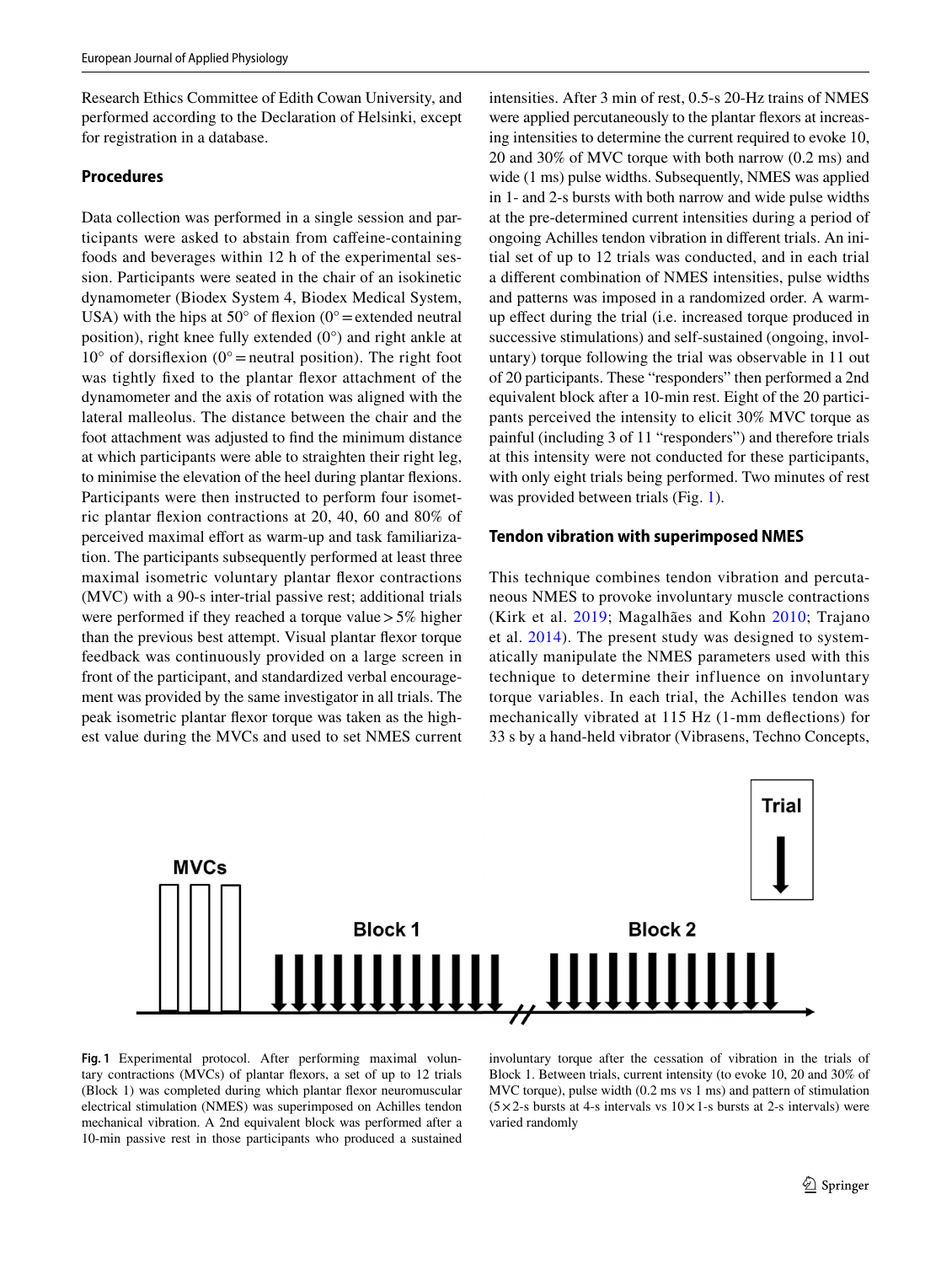Research Ethics Committee of Edith Cowan University, and performed according to the Declaration of Helsinki, except for registration in a database.

#### **Procedures**

Data collection was performed in a single session and participants were asked to abstain from cafeine-containing foods and beverages within 12 h of the experimental session. Participants were seated in the chair of an isokinetic dynamometer (Biodex System 4, Biodex Medical System, USA) with the hips at  $50^{\circ}$  of flexion (0° = extended neutral position), right knee fully extended (0°) and right ankle at  $10^{\circ}$  of dorsifiexion (0° = neutral position). The right foot was tightly fxed to the plantar fexor attachment of the dynamometer and the axis of rotation was aligned with the lateral malleolus. The distance between the chair and the foot attachment was adjusted to fnd the minimum distance at which participants were able to straighten their right leg, to minimise the elevation of the heel during plantar fexions. Participants were then instructed to perform four isometric plantar fexion contractions at 20, 40, 60 and 80% of perceived maximal effort as warm-up and task familiarization. The participants subsequently performed at least three maximal isometric voluntary plantar fexor contractions (MVC) with a 90-s inter-trial passive rest; additional trials were performed if they reached a torque value  $>5\%$  higher than the previous best attempt. Visual plantar fexor torque feedback was continuously provided on a large screen in front of the participant, and standardized verbal encouragement was provided by the same investigator in all trials. The peak isometric plantar fexor torque was taken as the highest value during the MVCs and used to set NMES current intensities. After 3 min of rest, 0.5-s 20-Hz trains of NMES were applied percutaneously to the plantar fexors at increasing intensities to determine the current required to evoke 10, 20 and 30% of MVC torque with both narrow (0.2 ms) and wide (1 ms) pulse widths. Subsequently, NMES was applied in 1- and 2-s bursts with both narrow and wide pulse widths at the pre-determined current intensities during a period of ongoing Achilles tendon vibration in diferent trials. An initial set of up to 12 trials was conducted, and in each trial a diferent combination of NMES intensities, pulse widths and patterns was imposed in a randomized order. A warmup efect during the trial (i.e. increased torque produced in successive stimulations) and self-sustained (ongoing, involuntary) torque following the trial was observable in 11 out of 20 participants. These "responders" then performed a 2nd equivalent block after a 10-min rest. Eight of the 20 participants perceived the intensity to elicit 30% MVC torque as painful (including 3 of 11 "responders") and therefore trials at this intensity were not conducted for these participants, with only eight trials being performed. Two minutes of rest was provided between trials (Fig. [1\)](#page-3-0).

#### **Tendon vibration with superimposed NMES**

This technique combines tendon vibration and percutaneous NMES to provoke involuntary muscle contractions (Kirk et al. [2019](#page-10-2); Magalhães and Kohn [2010;](#page-10-1) Trajano et al. [2014\)](#page-11-0). The present study was designed to systematically manipulate the NMES parameters used with this technique to determine their influence on involuntary torque variables. In each trial, the Achilles tendon was mechanically vibrated at 115 Hz (1-mm defections) for 33 s by a hand-held vibrator (Vibrasens, Techno Concepts,



<span id="page-3-0"></span>**Fig. 1** Experimental protocol. After performing maximal voluntary contractions (MVCs) of plantar fexors, a set of up to 12 trials (Block 1) was completed during which plantar fexor neuromuscular electrical stimulation (NMES) was superimposed on Achilles tendon mechanical vibration. A 2nd equivalent block was performed after a 10-min passive rest in those participants who produced a sustained involuntary torque after the cessation of vibration in the trials of Block 1. Between trials, current intensity (to evoke 10, 20 and 30% of MVC torque), pulse width (0.2 ms vs 1 ms) and pattern of stimulation  $(5 \times 2$ -s bursts at 4-s intervals vs  $10 \times 1$ -s bursts at 2-s intervals) were varied randomly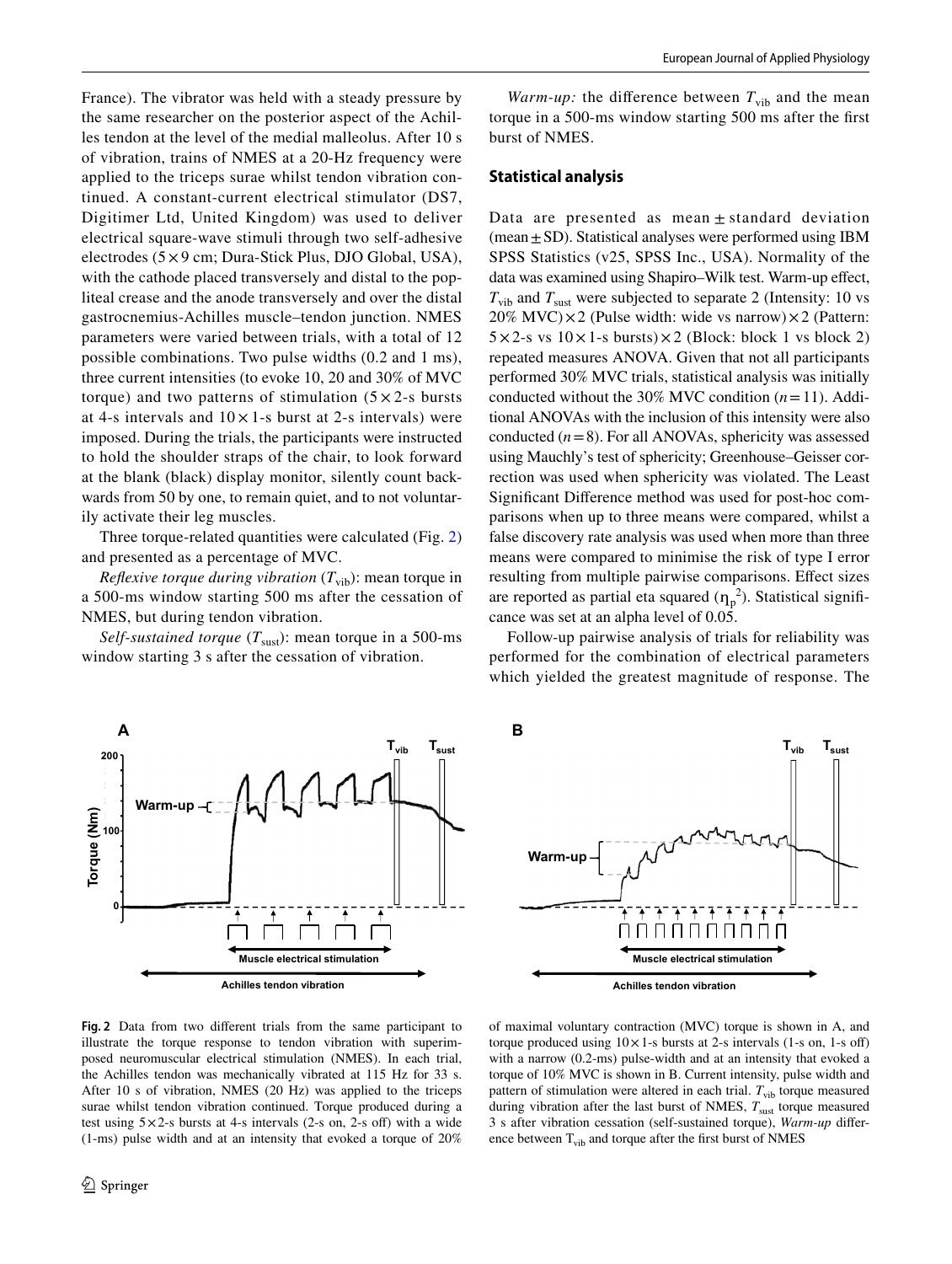France). The vibrator was held with a steady pressure by the same researcher on the posterior aspect of the Achilles tendon at the level of the medial malleolus. After 10 s of vibration, trains of NMES at a 20-Hz frequency were applied to the triceps surae whilst tendon vibration continued. A constant-current electrical stimulator (DS7, Digitimer Ltd, United Kingdom) was used to deliver electrical square-wave stimuli through two self-adhesive electrodes (5×9 cm; Dura-Stick Plus, DJO Global, USA), with the cathode placed transversely and distal to the popliteal crease and the anode transversely and over the distal gastrocnemius-Achilles muscle–tendon junction. NMES parameters were varied between trials, with a total of 12 possible combinations. Two pulse widths (0.2 and 1 ms), three current intensities (to evoke 10, 20 and 30% of MVC torque) and two patterns of stimulation  $(5 \times 2$ -s bursts at 4-s intervals and  $10 \times 1$ -s burst at 2-s intervals) were imposed. During the trials, the participants were instructed to hold the shoulder straps of the chair, to look forward at the blank (black) display monitor, silently count backwards from 50 by one, to remain quiet, and to not voluntarily activate their leg muscles.

Three torque-related quantities were calculated (Fig. [2\)](#page-4-0) and presented as a percentage of MVC.

*Reflexive torque during vibration*  $(T_{vib})$ : mean torque in a 500-ms window starting 500 ms after the cessation of NMES, but during tendon vibration.

*Self-sustained torque*  $(T_{\text{sust}})$ : mean torque in a 500-ms window starting 3 s after the cessation of vibration.

*Warm-up:* the difference between  $T_{vib}$  and the mean torque in a 500-ms window starting 500 ms after the frst burst of NMES.

#### **Statistical analysis**

Data are presented as mean  $\pm$  standard deviation (mean $\pm$ SD). Statistical analyses were performed using IBM SPSS Statistics (v25, SPSS Inc., USA). Normality of the data was examined using Shapiro–Wilk test. Warm-up effect,  $T_{\text{vib}}$  and  $T_{\text{sust}}$  were subjected to separate 2 (Intensity: 10 vs 20% MVC) $\times$ 2 (Pulse width: wide vs narrow) $\times$ 2 (Pattern:  $5 \times 2$ -s vs  $10 \times 1$ -s bursts) $\times 2$  (Block: block 1 vs block 2) repeated measures ANOVA. Given that not all participants performed 30% MVC trials, statistical analysis was initially conducted without the 30% MVC condition  $(n=11)$ . Additional ANOVAs with the inclusion of this intensity were also conducted  $(n=8)$ . For all ANOVAs, sphericity was assessed using Mauchly's test of sphericity; Greenhouse–Geisser correction was used when sphericity was violated. The Least Signifcant Diference method was used for post-hoc comparisons when up to three means were compared, whilst a false discovery rate analysis was used when more than three means were compared to minimise the risk of type I error resulting from multiple pairwise comparisons. Efect sizes are reported as partial eta squared  $(\eta_p^2)$ . Statistical significance was set at an alpha level of 0.05.

Follow-up pairwise analysis of trials for reliability was performed for the combination of electrical parameters which yielded the greatest magnitude of response. The



<span id="page-4-0"></span>**Fig. 2** Data from two diferent trials from the same participant to illustrate the torque response to tendon vibration with superimposed neuromuscular electrical stimulation (NMES). In each trial, the Achilles tendon was mechanically vibrated at 115 Hz for 33 s. After 10 s of vibration, NMES (20 Hz) was applied to the triceps surae whilst tendon vibration continued. Torque produced during a test using  $5 \times 2$ -s bursts at 4-s intervals (2-s on, 2-s off) with a wide (1-ms) pulse width and at an intensity that evoked a torque of 20%



of maximal voluntary contraction (MVC) torque is shown in A, and torque produced using  $10 \times 1$ -s bursts at 2-s intervals (1-s on, 1-s off) with a narrow (0.2-ms) pulse-width and at an intensity that evoked a torque of 10% MVC is shown in B. Current intensity, pulse width and pattern of stimulation were altered in each trial.  $T_{\text{vib}}$  torque measured during vibration after the last burst of NMES,  $T_{\text{sust}}$  torque measured 3 s after vibration cessation (self-sustained torque), *Warm-up* diference between  $T_{vib}$  and torque after the first burst of NMES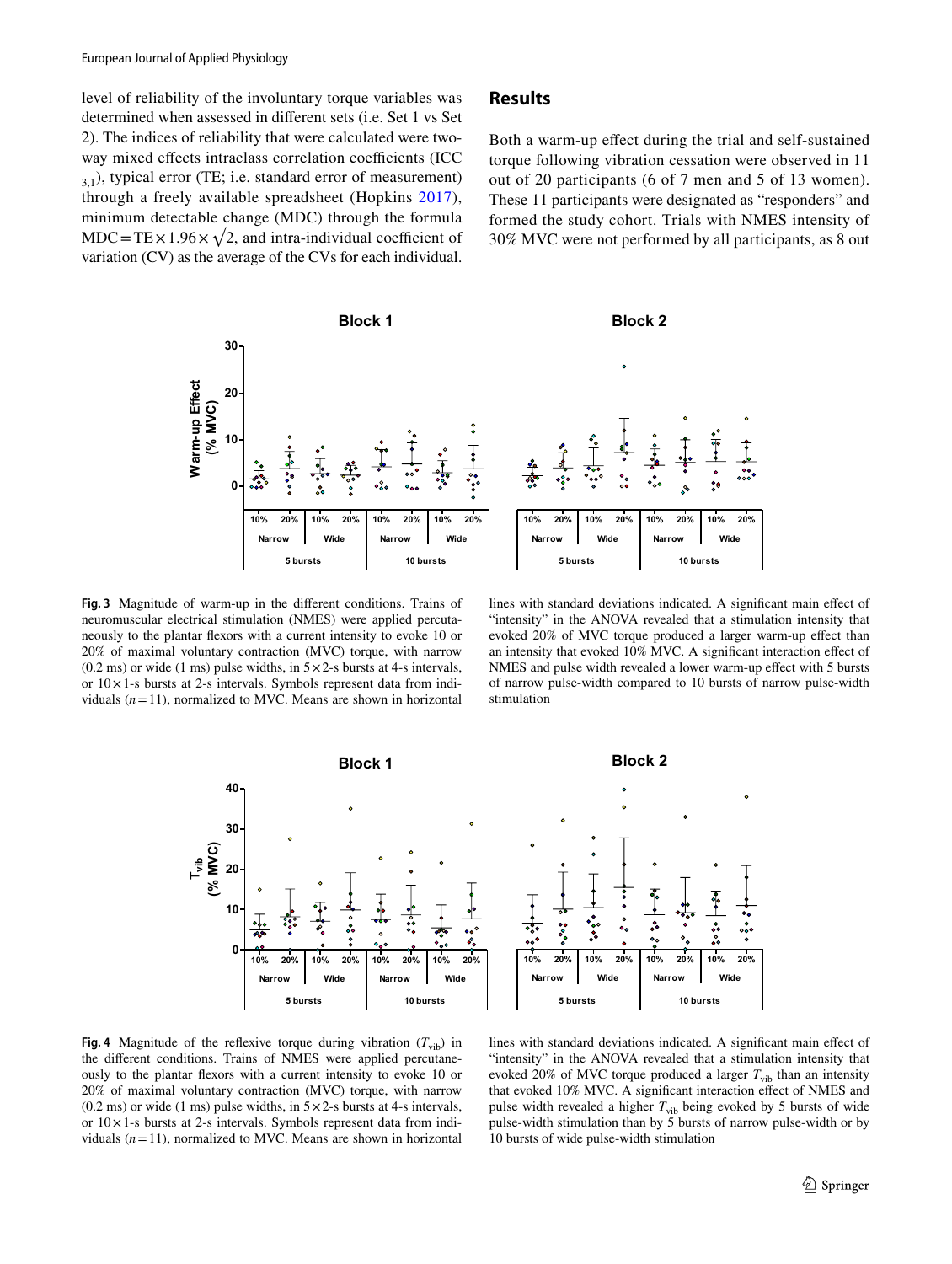level of reliability of the involuntary torque variables was determined when assessed in diferent sets (i.e. Set 1 vs Set 2). The indices of reliability that were calculated were twoway mixed effects intraclass correlation coefficients (ICC  $3,1)$ , typical error (TE; i.e. standard error of measurement) through a freely available spreadsheet (Hopkins [2017](#page-10-19)), minimum detectable change (MDC) through the formula MDC = TE  $\times$  1.96  $\times$   $\sqrt{2}$ , and intra-individual coefficient of variation (CV) as the average of the CVs for each individual.

#### **Results**

Both a warm-up efect during the trial and self-sustained torque following vibration cessation were observed in 11 out of 20 participants (6 of 7 men and 5 of 13 women). These 11 participants were designated as "responders" and formed the study cohort. Trials with NMES intensity of 30% MVC were not performed by all participants, as 8 out



<span id="page-5-0"></span>**Fig. 3** Magnitude of warm-up in the diferent conditions. Trains of neuromuscular electrical stimulation (NMES) were applied percutaneously to the plantar fexors with a current intensity to evoke 10 or 20% of maximal voluntary contraction (MVC) torque, with narrow  $(0.2 \text{ ms})$  or wide  $(1 \text{ ms})$  pulse widths, in  $5 \times 2$ -s bursts at 4-s intervals, or 10×1-s bursts at 2-s intervals. Symbols represent data from individuals  $(n=11)$ , normalized to MVC. Means are shown in horizontal

lines with standard deviations indicated. A significant main effect of "intensity" in the ANOVA revealed that a stimulation intensity that evoked 20% of MVC torque produced a larger warm-up efect than an intensity that evoked 10% MVC. A signifcant interaction efect of NMES and pulse width revealed a lower warm-up efect with 5 bursts of narrow pulse-width compared to 10 bursts of narrow pulse-width stimulation



<span id="page-5-1"></span>**Fig. 4** Magnitude of the reflexive torque during vibration  $(T_{\text{vib}})$  in the diferent conditions. Trains of NMES were applied percutaneously to the plantar fexors with a current intensity to evoke 10 or 20% of maximal voluntary contraction (MVC) torque, with narrow  $(0.2 \text{ ms})$  or wide  $(1 \text{ ms})$  pulse widths, in  $5 \times 2$ -s bursts at 4-s intervals, or 10×1-s bursts at 2-s intervals. Symbols represent data from individuals  $(n=11)$ , normalized to MVC. Means are shown in horizontal

lines with standard deviations indicated. A signifcant main efect of "intensity" in the ANOVA revealed that a stimulation intensity that evoked 20% of MVC torque produced a larger  $T_{\text{vib}}$  than an intensity that evoked 10% MVC. A significant interaction effect of NMES and pulse width revealed a higher  $T_{\text{vib}}$  being evoked by 5 bursts of wide pulse-width stimulation than by 5 bursts of narrow pulse-width or by 10 bursts of wide pulse-width stimulation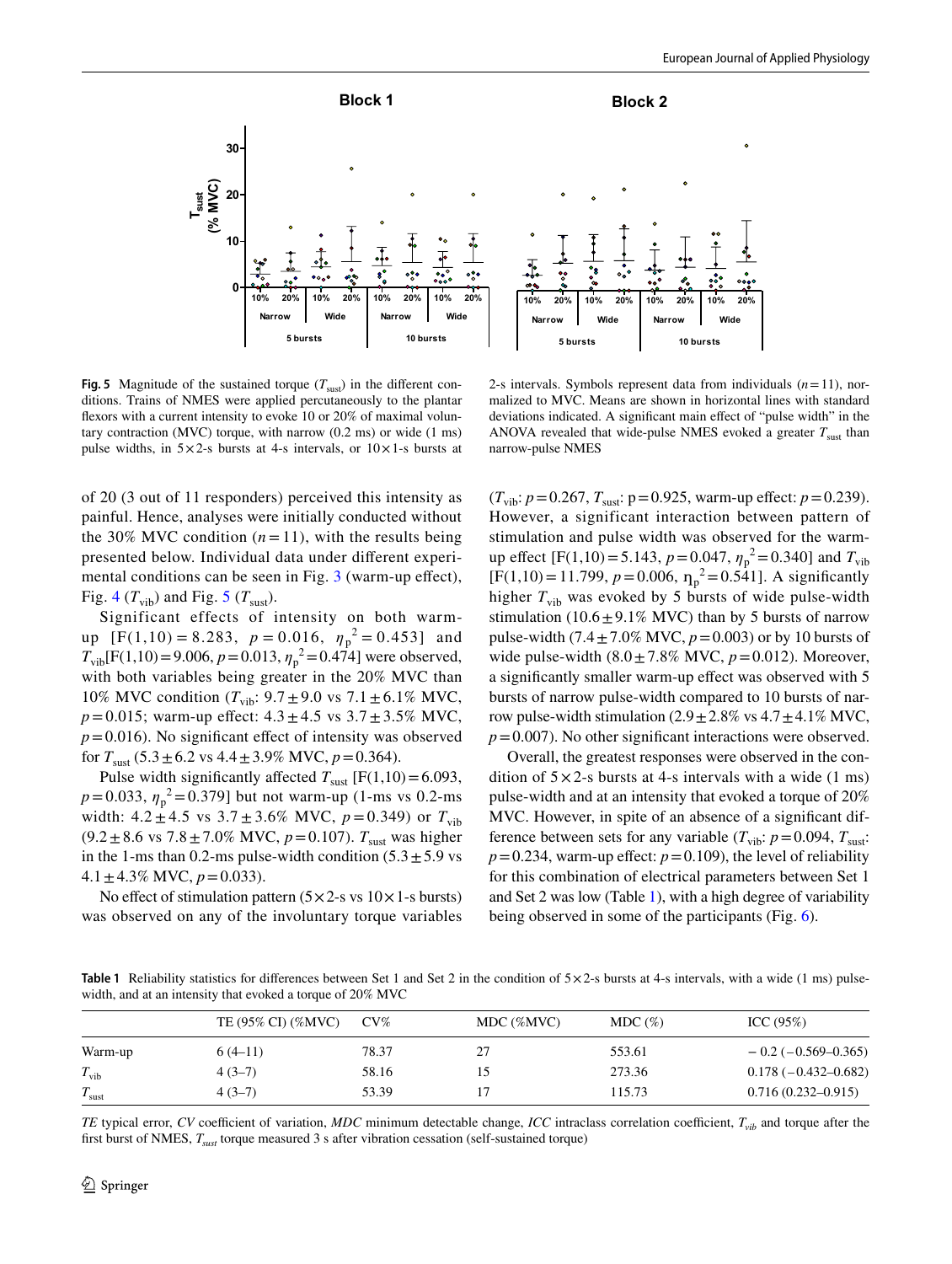

<span id="page-6-0"></span>**Fig. 5** Magnitude of the sustained torque  $(T_{\text{surf}})$  in the different conditions. Trains of NMES were applied percutaneously to the plantar fexors with a current intensity to evoke 10 or 20% of maximal voluntary contraction (MVC) torque, with narrow (0.2 ms) or wide (1 ms) pulse widths, in  $5 \times 2$ -s bursts at 4-s intervals, or  $10 \times 1$ -s bursts at

2-s intervals. Symbols represent data from individuals  $(n=11)$ , normalized to MVC. Means are shown in horizontal lines with standard deviations indicated. A signifcant main efect of "pulse width" in the ANOVA revealed that wide-pulse NMES evoked a greater  $T_{\text{surf}}$  than narrow-pulse NMES

of 20 (3 out of 11 responders) perceived this intensity as painful. Hence, analyses were initially conducted without the 30% MVC condition  $(n=11)$ , with the results being presented below. Individual data under diferent experi-mental conditions can be seen in Fig. [3](#page-5-0) (warm-up effect), Fig. [4](#page-5-1) ( $T_{\text{vib}}$ ) and Fig. [5](#page-6-0) ( $T_{\text{sust}}$ ).

Significant effects of intensity on both warmup  $[F(1,10) = 8.283, p = 0.016, \eta_p^2 = 0.453]$  and  $T_{\text{vib}}[F(1,10) = 9.006, p = 0.013, \eta_p^2 = 0.474]$  were observed, with both variables being greater in the 20% MVC than 10% MVC condition  $(T_{vib}: 9.7 \pm 9.0 \text{ vs } 7.1 \pm 6.1\% \text{ MVC}$ ,  $p = 0.015$ ; warm-up effect:  $4.3 \pm 4.5$  vs  $3.7 \pm 3.5$ % MVC,  $p = 0.016$ ). No significant effect of intensity was observed for  $T_{\text{Sust}}$  (5.3  $\pm$  6.2 vs 4.4  $\pm$  3.9% MVC,  $p$  = 0.364).

Pulse width significantly affected  $T_{\text{sust}}$  [F(1,10)=6.093,  $p = 0.033$ ,  $\eta_p^2 = 0.379$ ] but not warm-up (1-ms vs 0.2-ms width:  $4.2 \pm 4.5$  vs  $3.7 \pm 3.6\%$  MVC,  $p = 0.349$ ) or  $T_{\text{vib}}$  $(9.2 \pm 8.6 \text{ vs } 7.8 \pm 7.0\% \text{ MVC}, p = 0.107)$ . *T*<sub>sust</sub> was higher in the 1-ms than 0.2-ms pulse-width condition  $(5.3 \pm 5.9 \text{ vs }$ 4.1  $\pm$  4.3% MVC,  $p = 0.033$ ).

No effect of stimulation pattern  $(5 \times 2$ -s vs  $10 \times 1$ -s bursts) was observed on any of the involuntary torque variables  $(T_{\text{vib}}: p=0.267, T_{\text{sust}}: p=0.925, \text{warm-up effect: } p=0.239).$ However, a significant interaction between pattern of stimulation and pulse width was observed for the warmup effect [F(1,10) = 5.143,  $p = 0.047$ ,  $\eta_p^2 = 0.340$ ] and  $T_{\text{vib}}$ [F(1,10) = 11.799,  $p = 0.006$ ,  $\eta_p^2 = 0.541$ ]. A significantly higher  $T_{\text{vib}}$  was evoked by 5 bursts of wide pulse-width stimulation (10.6 $\pm$ 9.1% MVC) than by 5 bursts of narrow pulse-width  $(7.4 \pm 7.0\% \text{ MVC}, p=0.003)$  or by 10 bursts of wide pulse-width  $(8.0 \pm 7.8\% \text{ MVC}, p=0.012)$ . Moreover, a signifcantly smaller warm-up efect was observed with 5 bursts of narrow pulse-width compared to 10 bursts of narrow pulse-width stimulation  $(2.9 \pm 2.8\% \text{ vs } 4.7 \pm 4.1\% \text{ MVC})$  $p=0.007$ ). No other significant interactions were observed.

Overall, the greatest responses were observed in the condition of  $5 \times 2$ -s bursts at 4-s intervals with a wide (1 ms) pulse-width and at an intensity that evoked a torque of 20% MVC. However, in spite of an absence of a signifcant difference between sets for any variable ( $T_{\text{vib}}$ :  $p = 0.094$ ,  $T_{\text{sust}}$ :  $p=0.234$ , warm-up effect:  $p=0.109$ ), the level of reliability for this combination of electrical parameters between Set 1 and Set 2 was low (Table [1\)](#page-6-1), with a high degree of variability being observed in some of the participants (Fig. [6](#page-7-0)).

<span id="page-6-1"></span>**Table 1** Reliability statistics for differences between Set 1 and Set 2 in the condition of  $5 \times 2$ -s bursts at 4-s intervals, with a wide (1 ms) pulsewidth, and at an intensity that evoked a torque of 20% MVC

|                   | TE (95% CI) (%MVC) | $CV\%$ | MDC (%MVC) | $MDC(\%)$ | ICC (95%)                 |
|-------------------|--------------------|--------|------------|-----------|---------------------------|
| Warm-up           | $6(4-11)$          | 78.37  | 27         | 553.61    | $-0.2$ ( $-0.569-0.365$ ) |
| $T_{\rm vib}$     | $4(3-7)$           | 58.16  |            | 273.36    | $0.178(-0.432-0.682)$     |
| $T_{\text{sust}}$ | $4(3-7)$           | 53.39  |            | 115.73    | $0.716(0.232 - 0.915)$    |

*TE* typical error, *CV* coefficient of variation, *MDC* minimum detectable change, *ICC* intraclass correlation coefficient,  $T_{vib}$  and torque after the frst burst of NMES, *Tsust* torque measured 3 s after vibration cessation (self-sustained torque)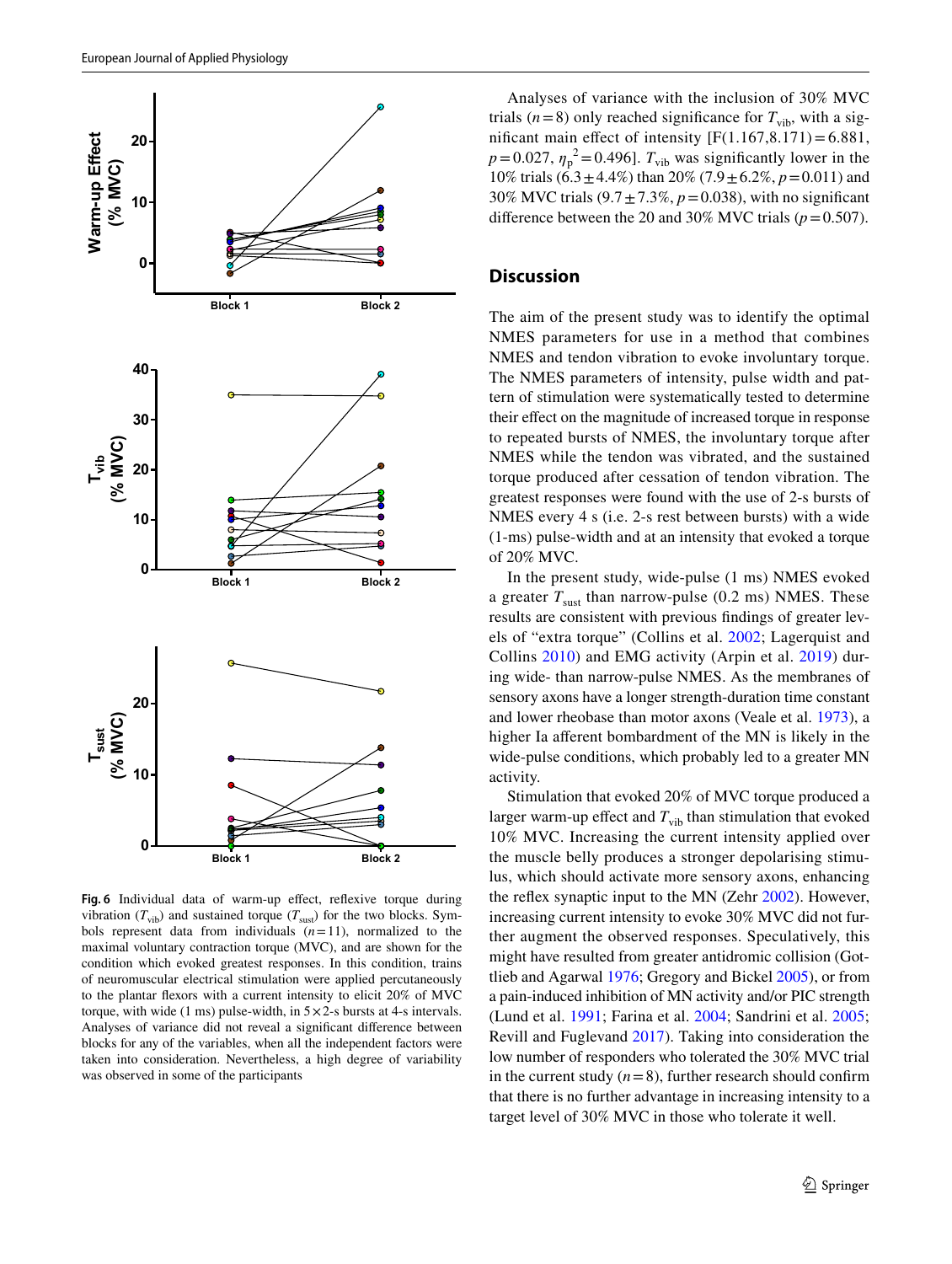

<span id="page-7-0"></span>Fig. 6 Individual data of warm-up effect, reflexive torque during vibration ( $T_{\text{vib}}$ ) and sustained torque ( $T_{\text{sust}}$ ) for the two blocks. Symbols represent data from individuals  $(n=11)$ , normalized to the maximal voluntary contraction torque (MVC), and are shown for the condition which evoked greatest responses. In this condition, trains of neuromuscular electrical stimulation were applied percutaneously to the plantar fexors with a current intensity to elicit 20% of MVC torque, with wide (1 ms) pulse-width, in  $5 \times 2$ -s bursts at 4-s intervals. Analyses of variance did not reveal a signifcant diference between blocks for any of the variables, when all the independent factors were taken into consideration. Nevertheless, a high degree of variability was observed in some of the participants

Analyses of variance with the inclusion of 30% MVC trials ( $n=8$ ) only reached significance for  $T_{\text{vib}}$ , with a significant main effect of intensity  $[F(1.167, 8.171) = 6.881,$  $p = 0.027$ ,  $\eta_p^2 = 0.496$ . *T*<sub>vib</sub> was significantly lower in the 10% trials (6.3±4.4%) than 20% (7.9±6.2%, *p*=0.011) and 30% MVC trials  $(9.7 \pm 7.3\%, p = 0.038)$ , with no significant difference between the 20 and 30% MVC trials  $(p=0.507)$ .

#### **Discussion**

The aim of the present study was to identify the optimal NMES parameters for use in a method that combines NMES and tendon vibration to evoke involuntary torque. The NMES parameters of intensity, pulse width and pattern of stimulation were systematically tested to determine their effect on the magnitude of increased torque in response to repeated bursts of NMES, the involuntary torque after NMES while the tendon was vibrated, and the sustained torque produced after cessation of tendon vibration. The greatest responses were found with the use of 2-s bursts of NMES every 4 s (i.e. 2-s rest between bursts) with a wide (1-ms) pulse-width and at an intensity that evoked a torque of 20% MVC.

In the present study, wide-pulse (1 ms) NMES evoked a greater  $T_{\text{sust}}$  than narrow-pulse (0.2 ms) NMES. These results are consistent with previous fndings of greater levels of "extra torque" (Collins et al. [2002](#page-10-7); Lagerquist and Collins [2010](#page-10-8)) and EMG activity (Arpin et al. [2019\)](#page-9-4) during wide- than narrow-pulse NMES. As the membranes of sensory axons have a longer strength-duration time constant and lower rheobase than motor axons (Veale et al. [1973](#page-11-4)), a higher Ia aferent bombardment of the MN is likely in the wide-pulse conditions, which probably led to a greater MN activity.

Stimulation that evoked 20% of MVC torque produced a larger warm-up effect and  $T_{vib}$  than stimulation that evoked 10% MVC. Increasing the current intensity applied over the muscle belly produces a stronger depolarising stimulus, which should activate more sensory axons, enhancing the refex synaptic input to the MN (Zehr [2002](#page-11-5)). However, increasing current intensity to evoke 30% MVC did not further augment the observed responses. Speculatively, this might have resulted from greater antidromic collision (Gottlieb and Agarwal [1976;](#page-10-20) Gregory and Bickel [2005](#page-10-21)), or from a pain-induced inhibition of MN activity and/or PIC strength (Lund et al. [1991;](#page-10-22) Farina et al. [2004;](#page-10-23) Sandrini et al. [2005](#page-11-6); Revill and Fuglevand [2017](#page-10-24)). Taking into consideration the low number of responders who tolerated the 30% MVC trial in the current study  $(n=8)$ , further research should confirm that there is no further advantage in increasing intensity to a target level of 30% MVC in those who tolerate it well.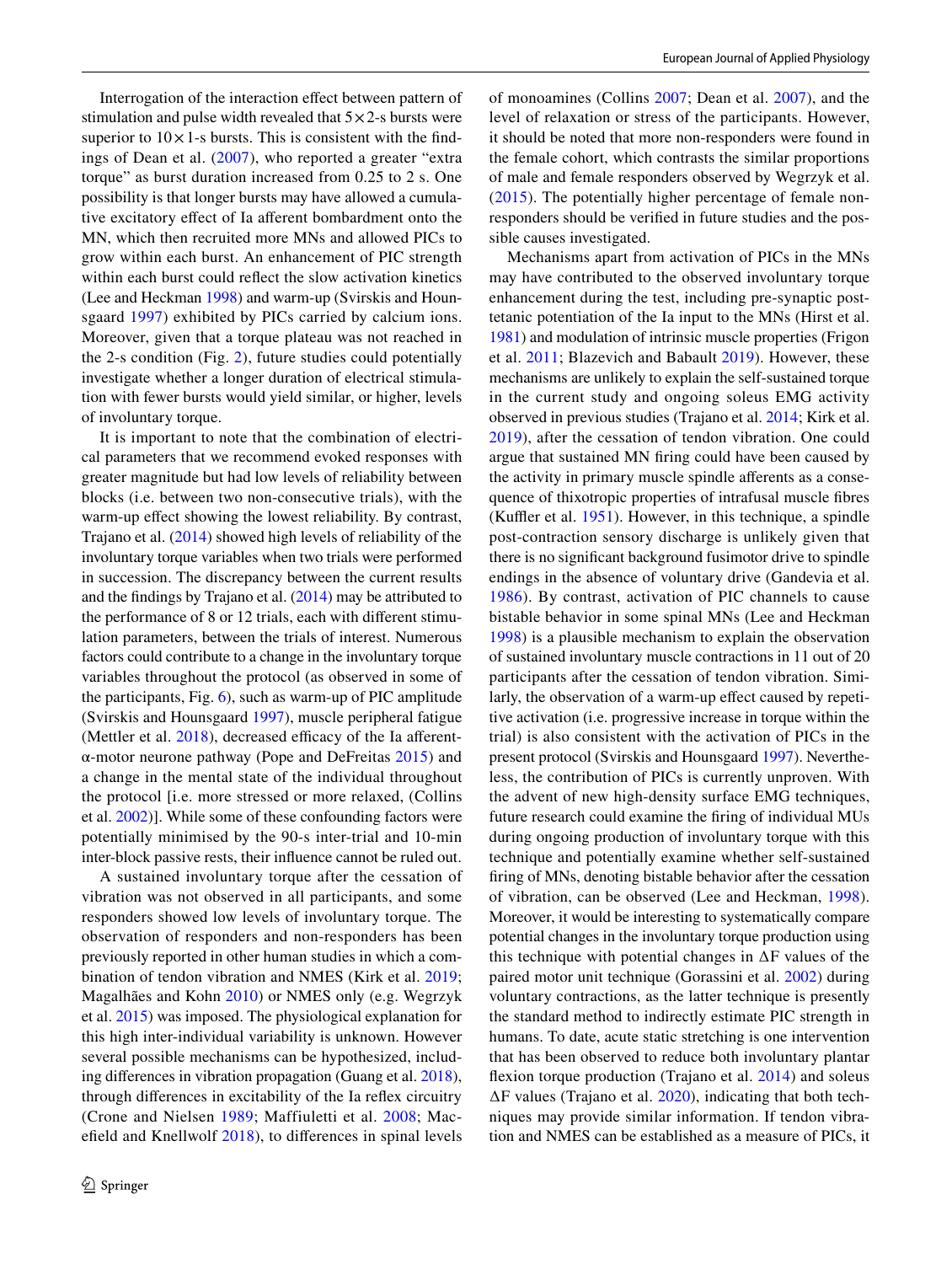Interrogation of the interaction efect between pattern of stimulation and pulse width revealed that  $5 \times 2$ -s bursts were superior to  $10 \times 1$ -s bursts. This is consistent with the findings of Dean et al. ([2007](#page-10-25)), who reported a greater "extra torque" as burst duration increased from 0.25 to 2 s. One possibility is that longer bursts may have allowed a cumulative excitatory efect of Ia aferent bombardment onto the MN, which then recruited more MNs and allowed PICs to grow within each burst. An enhancement of PIC strength within each burst could refect the slow activation kinetics (Lee and Heckman [1998\)](#page-10-17) and warm-up (Svirskis and Hounsgaard [1997\)](#page-11-3) exhibited by PICs carried by calcium ions. Moreover, given that a torque plateau was not reached in the 2-s condition (Fig. [2\)](#page-4-0), future studies could potentially investigate whether a longer duration of electrical stimulation with fewer bursts would yield similar, or higher, levels of involuntary torque.

It is important to note that the combination of electrical parameters that we recommend evoked responses with greater magnitude but had low levels of reliability between blocks (i.e. between two non-consecutive trials), with the warm-up effect showing the lowest reliability. By contrast, Trajano et al. [\(2014\)](#page-11-0) showed high levels of reliability of the involuntary torque variables when two trials were performed in succession. The discrepancy between the current results and the fndings by Trajano et al. [\(2014\)](#page-11-0) may be attributed to the performance of 8 or 12 trials, each with diferent stimulation parameters, between the trials of interest. Numerous factors could contribute to a change in the involuntary torque variables throughout the protocol (as observed in some of the participants, Fig. [6\)](#page-7-0), such as warm-up of PIC amplitude (Svirskis and Hounsgaard [1997](#page-11-3)), muscle peripheral fatigue (Mettler et al.  $2018$ ), decreased efficacy of the Ia afferentα-motor neurone pathway (Pope and DeFreitas [2015](#page-10-27)) and a change in the mental state of the individual throughout the protocol [i.e. more stressed or more relaxed, (Collins et al. [2002\)](#page-10-7)]. While some of these confounding factors were potentially minimised by the 90-s inter-trial and 10-min inter-block passive rests, their infuence cannot be ruled out.

A sustained involuntary torque after the cessation of vibration was not observed in all participants, and some responders showed low levels of involuntary torque. The observation of responders and non-responders has been previously reported in other human studies in which a combination of tendon vibration and NMES (Kirk et al. [2019](#page-10-2); Magalhães and Kohn [2010](#page-10-1)) or NMES only (e.g. Wegrzyk et al. [2015\)](#page-11-1) was imposed. The physiological explanation for this high inter-individual variability is unknown. However several possible mechanisms can be hypothesized, including diferences in vibration propagation (Guang et al. [2018](#page-10-28)), through diferences in excitability of the Ia refex circuitry (Crone and Nielsen [1989;](#page-10-29) Maffiuletti et al. [2008;](#page-10-30) Macefeld and Knellwolf [2018](#page-10-31)), to diferences in spinal levels of monoamines (Collins [2007](#page-10-32); Dean et al. [2007\)](#page-10-25), and the level of relaxation or stress of the participants. However, it should be noted that more non-responders were found in the female cohort, which contrasts the similar proportions of male and female responders observed by Wegrzyk et al. ([2015](#page-11-1)). The potentially higher percentage of female nonresponders should be verifed in future studies and the possible causes investigated.

Mechanisms apart from activation of PICs in the MNs may have contributed to the observed involuntary torque enhancement during the test, including pre-synaptic posttetanic potentiation of the Ia input to the MNs (Hirst et al. [1981](#page-10-10)) and modulation of intrinsic muscle properties (Frigon et al. [2011;](#page-10-6) Blazevich and Babault [2019](#page-9-6)). However, these mechanisms are unlikely to explain the self-sustained torque in the current study and ongoing soleus EMG activity observed in previous studies (Trajano et al. [2014](#page-11-0); Kirk et al. [2019\)](#page-10-2), after the cessation of tendon vibration. One could argue that sustained MN fring could have been caused by the activity in primary muscle spindle afferents as a consequence of thixotropic properties of intrafusal muscle fbres (Kuffler et al.  $1951$ ). However, in this technique, a spindle post-contraction sensory discharge is unlikely given that there is no signifcant background fusimotor drive to spindle endings in the absence of voluntary drive (Gandevia et al. [1986](#page-10-34)). By contrast, activation of PIC channels to cause bistable behavior in some spinal MNs (Lee and Heckman [1998](#page-10-17)) is a plausible mechanism to explain the observation of sustained involuntary muscle contractions in 11 out of 20 participants after the cessation of tendon vibration. Similarly, the observation of a warm-up effect caused by repetitive activation (i.e. progressive increase in torque within the trial) is also consistent with the activation of PICs in the present protocol (Svirskis and Hounsgaard [1997\)](#page-11-3). Nevertheless, the contribution of PICs is currently unproven. With the advent of new high-density surface EMG techniques, future research could examine the fring of individual MUs during ongoing production of involuntary torque with this technique and potentially examine whether self-sustained fring of MNs, denoting bistable behavior after the cessation of vibration, can be observed (Lee and Heckman, [1998](#page-10-17)). Moreover, it would be interesting to systematically compare potential changes in the involuntary torque production using this technique with potential changes in ∆F values of the paired motor unit technique (Gorassini et al. [2002](#page-10-16)) during voluntary contractions, as the latter technique is presently the standard method to indirectly estimate PIC strength in humans. To date, acute static stretching is one intervention that has been observed to reduce both involuntary plantar flexion torque production (Trajano et al. [2014\)](#page-11-0) and soleus ∆F values (Trajano et al. [2020](#page-11-7)), indicating that both techniques may provide similar information. If tendon vibration and NMES can be established as a measure of PICs, it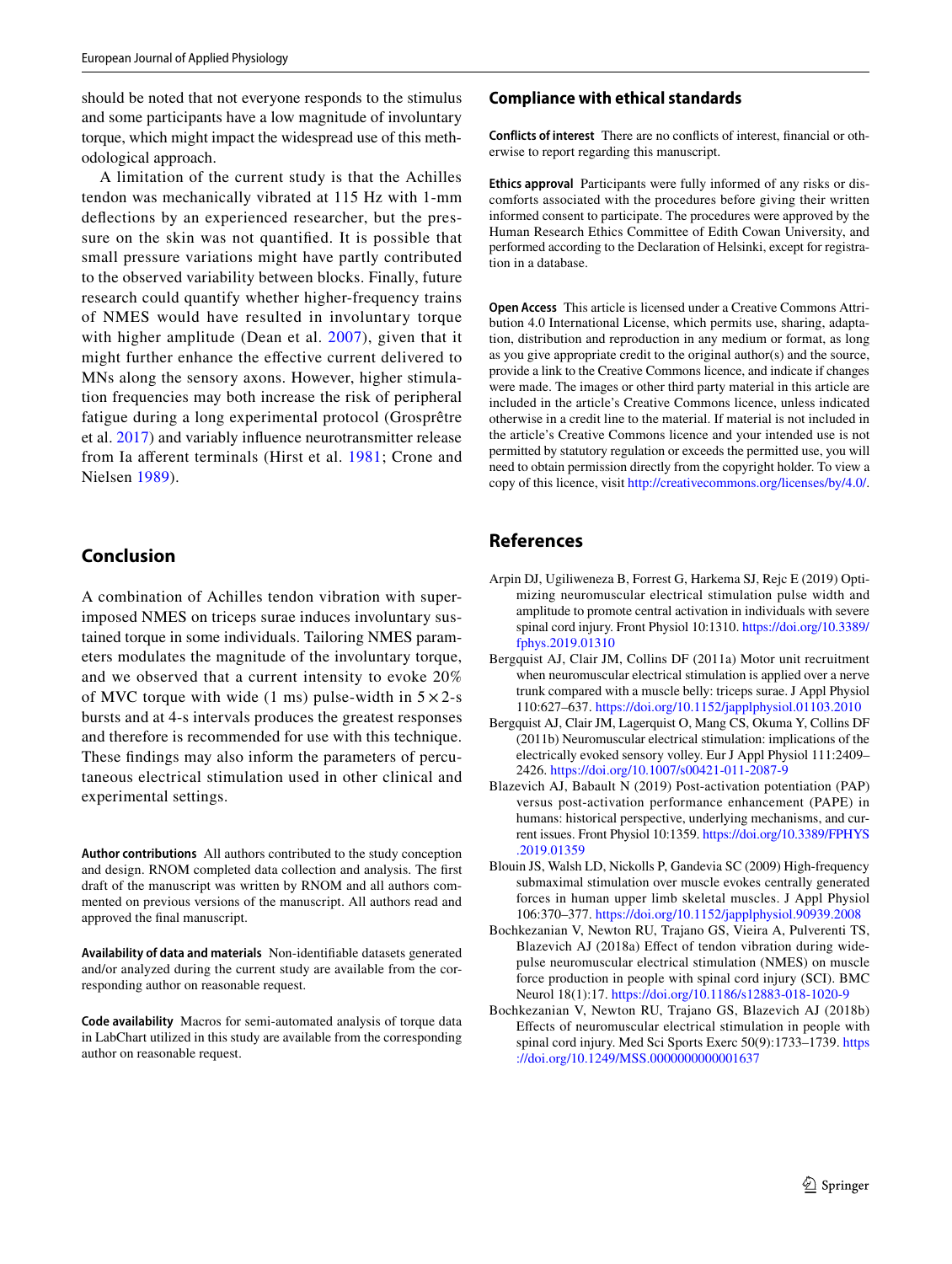should be noted that not everyone responds to the stimulus and some participants have a low magnitude of involuntary torque, which might impact the widespread use of this methodological approach.

A limitation of the current study is that the Achilles tendon was mechanically vibrated at 115 Hz with 1-mm defections by an experienced researcher, but the pressure on the skin was not quantifed. It is possible that small pressure variations might have partly contributed to the observed variability between blocks. Finally, future research could quantify whether higher-frequency trains of NMES would have resulted in involuntary torque with higher amplitude (Dean et al. [2007\)](#page-10-25), given that it might further enhance the efective current delivered to MNs along the sensory axons. However, higher stimulation frequencies may both increase the risk of peripheral fatigue during a long experimental protocol (Grosprêtre et al. [2017](#page-10-35)) and variably infuence neurotransmitter release from Ia aferent terminals (Hirst et al. [1981;](#page-10-10) Crone and Nielsen [1989](#page-10-29)).

# **Conclusion**

A combination of Achilles tendon vibration with superimposed NMES on triceps surae induces involuntary sustained torque in some individuals. Tailoring NMES parameters modulates the magnitude of the involuntary torque, and we observed that a current intensity to evoke 20% of MVC torque with wide (1 ms) pulse-width in  $5 \times 2$ -s bursts and at 4-s intervals produces the greatest responses and therefore is recommended for use with this technique. These fndings may also inform the parameters of percutaneous electrical stimulation used in other clinical and experimental settings.

**Author contributions** All authors contributed to the study conception and design. RNOM completed data collection and analysis. The frst draft of the manuscript was written by RNOM and all authors commented on previous versions of the manuscript. All authors read and approved the fnal manuscript.

**Availability of data and materials** Non-identifable datasets generated and/or analyzed during the current study are available from the corresponding author on reasonable request.

**Code availability** Macros for semi-automated analysis of torque data in LabChart utilized in this study are available from the corresponding author on reasonable request.

#### **Compliance with ethical standards**

**Conflicts of interest** There are no conficts of interest, fnancial or otherwise to report regarding this manuscript.

**Ethics approval** Participants were fully informed of any risks or discomforts associated with the procedures before giving their written informed consent to participate. The procedures were approved by the Human Research Ethics Committee of Edith Cowan University, and performed according to the Declaration of Helsinki, except for registration in a database.

**Open Access** This article is licensed under a Creative Commons Attribution 4.0 International License, which permits use, sharing, adaptation, distribution and reproduction in any medium or format, as long as you give appropriate credit to the original author(s) and the source, provide a link to the Creative Commons licence, and indicate if changes were made. The images or other third party material in this article are included in the article's Creative Commons licence, unless indicated otherwise in a credit line to the material. If material is not included in the article's Creative Commons licence and your intended use is not permitted by statutory regulation or exceeds the permitted use, you will need to obtain permission directly from the copyright holder. To view a copy of this licence, visit<http://creativecommons.org/licenses/by/4.0/>.

## **References**

- <span id="page-9-4"></span>Arpin DJ, Ugiliweneza B, Forrest G, Harkema SJ, Rejc E (2019) Optimizing neuromuscular electrical stimulation pulse width and amplitude to promote central activation in individuals with severe spinal cord injury. Front Physiol 10:1310. [https://doi.org/10.3389/](https://doi.org/10.3389/fphys.2019.01310) [fphys.2019.01310](https://doi.org/10.3389/fphys.2019.01310)
- <span id="page-9-5"></span>Bergquist AJ, Clair JM, Collins DF (2011a) Motor unit recruitment when neuromuscular electrical stimulation is applied over a nerve trunk compared with a muscle belly: triceps surae. J Appl Physiol 110:627–637. <https://doi.org/10.1152/japplphysiol.01103.2010>
- <span id="page-9-2"></span>Bergquist AJ, Clair JM, Lagerquist O, Mang CS, Okuma Y, Collins DF (2011b) Neuromuscular electrical stimulation: implications of the electrically evoked sensory volley. Eur J Appl Physiol 111:2409– 2426. <https://doi.org/10.1007/s00421-011-2087-9>
- <span id="page-9-6"></span>Blazevich AJ, Babault N (2019) Post-activation potentiation (PAP) versus post-activation performance enhancement (PAPE) in humans: historical perspective, underlying mechanisms, and current issues. Front Physiol 10:1359. [https://doi.org/10.3389/FPHYS](https://doi.org/10.3389/FPHYS.2019.01359) [.2019.01359](https://doi.org/10.3389/FPHYS.2019.01359)
- <span id="page-9-3"></span>Blouin JS, Walsh LD, Nickolls P, Gandevia SC (2009) High-frequency submaximal stimulation over muscle evokes centrally generated forces in human upper limb skeletal muscles. J Appl Physiol 106:370–377. <https://doi.org/10.1152/japplphysiol.90939.2008>
- <span id="page-9-1"></span>Bochkezanian V, Newton RU, Trajano GS, Vieira A, Pulverenti TS, Blazevich AJ (2018a) Efect of tendon vibration during widepulse neuromuscular electrical stimulation (NMES) on muscle force production in people with spinal cord injury (SCI). BMC Neurol 18(1):17. <https://doi.org/10.1186/s12883-018-1020-9>
- <span id="page-9-0"></span>Bochkezanian V, Newton RU, Trajano GS, Blazevich AJ (2018b) Efects of neuromuscular electrical stimulation in people with spinal cord injury. Med Sci Sports Exerc 50(9):1733–1739. [https](https://doi.org/10.1249/MSS.0000000000001637) [://doi.org/10.1249/MSS.0000000000001637](https://doi.org/10.1249/MSS.0000000000001637)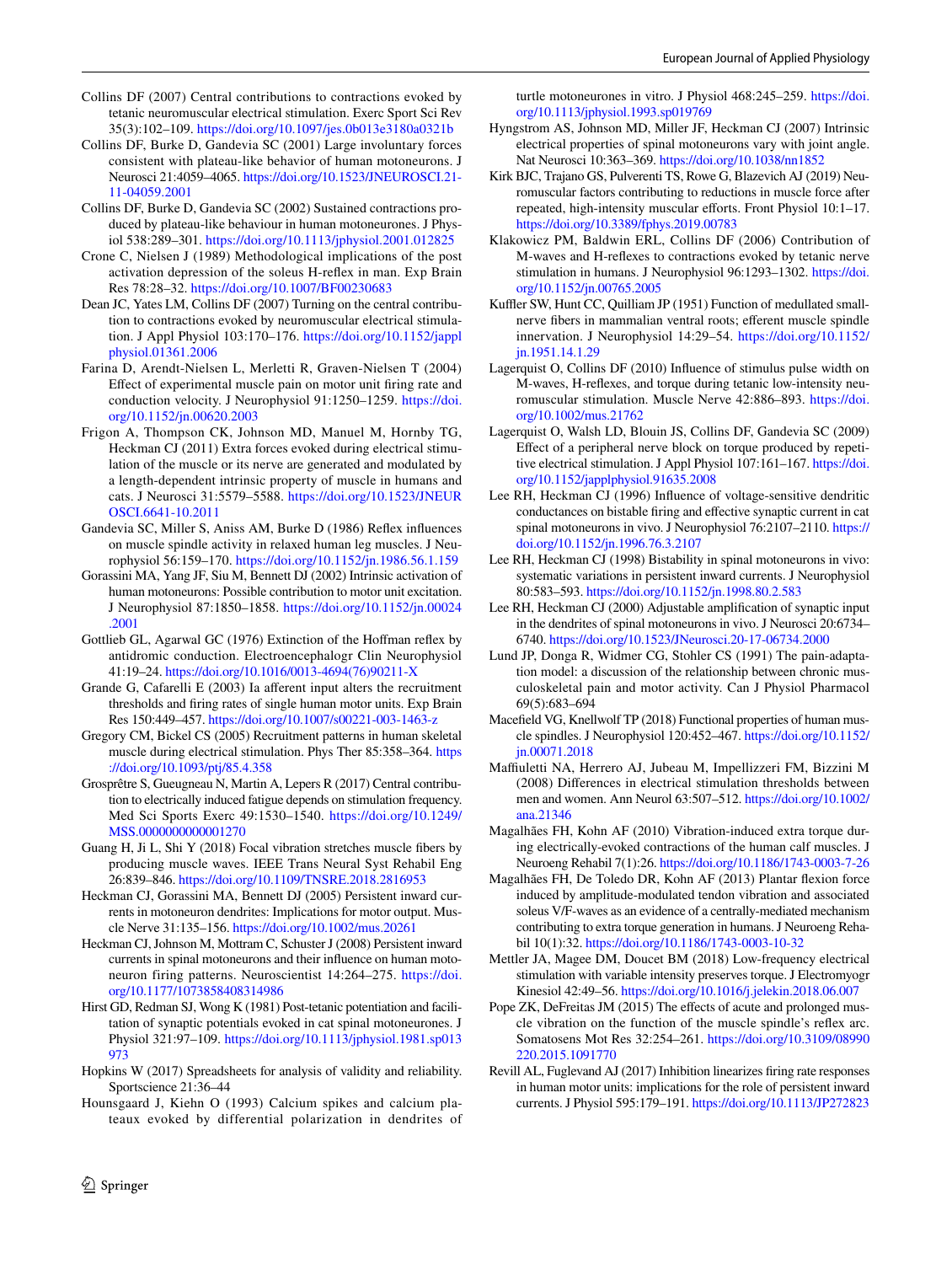- <span id="page-10-32"></span>Collins DF (2007) Central contributions to contractions evoked by tetanic neuromuscular electrical stimulation. Exerc Sport Sci Rev 35(3):102–109.<https://doi.org/10.1097/jes.0b013e3180a0321b>
- <span id="page-10-4"></span>Collins DF, Burke D, Gandevia SC (2001) Large involuntary forces consistent with plateau-like behavior of human motoneurons. J Neurosci 21:4059–4065. [https://doi.org/10.1523/JNEUROSCI.21-](https://doi.org/10.1523/JNEUROSCI.21-11-04059.2001) [11-04059.2001](https://doi.org/10.1523/JNEUROSCI.21-11-04059.2001)
- <span id="page-10-7"></span>Collins DF, Burke D, Gandevia SC (2002) Sustained contractions produced by plateau-like behaviour in human motoneurones. J Physiol 538:289–301. <https://doi.org/10.1113/jphysiol.2001.012825>
- <span id="page-10-29"></span>Crone C, Nielsen J (1989) Methodological implications of the post activation depression of the soleus H-refex in man. Exp Brain Res 78:28–32. <https://doi.org/10.1007/BF00230683>
- <span id="page-10-25"></span>Dean JC, Yates LM, Collins DF (2007) Turning on the central contribution to contractions evoked by neuromuscular electrical stimulation. J Appl Physiol 103:170–176. [https://doi.org/10.1152/jappl](https://doi.org/10.1152/japplphysiol.01361.2006) [physiol.01361.2006](https://doi.org/10.1152/japplphysiol.01361.2006)
- <span id="page-10-23"></span>Farina D, Arendt-Nielsen L, Merletti R, Graven-Nielsen T (2004) Efect of experimental muscle pain on motor unit fring rate and conduction velocity. J Neurophysiol 91:1250–1259. [https://doi.](https://doi.org/10.1152/jn.00620.2003) [org/10.1152/jn.00620.2003](https://doi.org/10.1152/jn.00620.2003)
- <span id="page-10-6"></span>Frigon A, Thompson CK, Johnson MD, Manuel M, Hornby TG, Heckman CJ (2011) Extra forces evoked during electrical stimulation of the muscle or its nerve are generated and modulated by a length-dependent intrinsic property of muscle in humans and cats. J Neurosci 31:5579–5588. [https://doi.org/10.1523/JNEUR](https://doi.org/10.1523/JNEUROSCI.6641-10.2011) [OSCI.6641-10.2011](https://doi.org/10.1523/JNEUROSCI.6641-10.2011)
- <span id="page-10-34"></span>Gandevia SC, Miller S, Aniss AM, Burke D (1986) Refex infuences on muscle spindle activity in relaxed human leg muscles. J Neurophysiol 56:159–170. <https://doi.org/10.1152/jn.1986.56.1.159>
- <span id="page-10-16"></span>Gorassini MA, Yang JF, Siu M, Bennett DJ (2002) Intrinsic activation of human motoneurons: Possible contribution to motor unit excitation. J Neurophysiol 87:1850–1858. [https://doi.org/10.1152/jn.00024](https://doi.org/10.1152/jn.00024.2001) [.2001](https://doi.org/10.1152/jn.00024.2001)
- <span id="page-10-20"></span>Gottlieb GL, Agarwal GC (1976) Extinction of the Hofman refex by antidromic conduction. Electroencephalogr Clin Neurophysiol 41:19–24. [https://doi.org/10.1016/0013-4694\(76\)90211-X](https://doi.org/10.1016/0013-4694(76)90211-X)
- <span id="page-10-3"></span>Grande G, Cafarelli E (2003) Ia aferent input alters the recruitment thresholds and fring rates of single human motor units. Exp Brain Res 150:449–457.<https://doi.org/10.1007/s00221-003-1463-z>
- <span id="page-10-21"></span>Gregory CM, Bickel CS (2005) Recruitment patterns in human skeletal muscle during electrical stimulation. Phys Ther 85:358–364. [https](https://doi.org/10.1093/ptj/85.4.358) [://doi.org/10.1093/ptj/85.4.358](https://doi.org/10.1093/ptj/85.4.358)
- <span id="page-10-35"></span>Grosprêtre S, Gueugneau N, Martin A, Lepers R (2017) Central contribution to electrically induced fatigue depends on stimulation frequency. Med Sci Sports Exerc 49:1530–1540. [https://doi.org/10.1249/](https://doi.org/10.1249/MSS.0000000000001270) MSS.00000000000001270
- <span id="page-10-28"></span>Guang H, Ji L, Shi Y (2018) Focal vibration stretches muscle fbers by producing muscle waves. IEEE Trans Neural Syst Rehabil Eng 26:839–846.<https://doi.org/10.1109/TNSRE.2018.2816953>
- <span id="page-10-14"></span>Heckman CJ, Gorassini MA, Bennett DJ (2005) Persistent inward currents in motoneuron dendrites: Implications for motor output. Muscle Nerve 31:135–156. <https://doi.org/10.1002/mus.20261>
- <span id="page-10-15"></span>Heckman CJ, Johnson M, Mottram C, Schuster J (2008) Persistent inward currents in spinal motoneurons and their infuence on human motoneuron firing patterns. Neuroscientist 14:264–275. [https://doi.](https://doi.org/10.1177/1073858408314986) [org/10.1177/1073858408314986](https://doi.org/10.1177/1073858408314986)
- <span id="page-10-10"></span>Hirst GD, Redman SJ, Wong K (1981) Post-tetanic potentiation and facilitation of synaptic potentials evoked in cat spinal motoneurones. J Physiol 321:97–109. [https://doi.org/10.1113/jphysiol.1981.sp013](https://doi.org/10.1113/jphysiol.1981.sp013973) [973](https://doi.org/10.1113/jphysiol.1981.sp013973)
- <span id="page-10-19"></span>Hopkins W (2017) Spreadsheets for analysis of validity and reliability. Sportscience 21:36–44
- <span id="page-10-11"></span>Hounsgaard J, Kiehn O (1993) Calcium spikes and calcium plateaux evoked by differential polarization in dendrites of

turtle motoneurones in vitro. J Physiol 468:245–259. [https://doi.](https://doi.org/10.1113/jphysiol.1993.sp019769) [org/10.1113/jphysiol.1993.sp019769](https://doi.org/10.1113/jphysiol.1993.sp019769)

- <span id="page-10-18"></span>Hyngstrom AS, Johnson MD, Miller JF, Heckman CJ (2007) Intrinsic electrical properties of spinal motoneurons vary with joint angle. Nat Neurosci 10:363–369. <https://doi.org/10.1038/nn1852>
- <span id="page-10-2"></span>Kirk BJC, Trajano GS, Pulverenti TS, Rowe G, Blazevich AJ (2019) Neuromuscular factors contributing to reductions in muscle force after repeated, high-intensity muscular efforts. Front Physiol 10:1-17. <https://doi.org/10.3389/fphys.2019.00783>
- <span id="page-10-9"></span>Klakowicz PM, Baldwin ERL, Collins DF (2006) Contribution of M-waves and H-refexes to contractions evoked by tetanic nerve stimulation in humans. J Neurophysiol 96:1293–1302. [https://doi.](https://doi.org/10.1152/jn.00765.2005) [org/10.1152/jn.00765.2005](https://doi.org/10.1152/jn.00765.2005)
- <span id="page-10-33"></span>Kuffler SW, Hunt CC, Quilliam JP (1951) Function of medullated smallnerve fbers in mammalian ventral roots; eferent muscle spindle innervation. J Neurophysiol 14:29–54. [https://doi.org/10.1152/](https://doi.org/10.1152/jn.1951.14.1.29) [jn.1951.14.1.29](https://doi.org/10.1152/jn.1951.14.1.29)
- <span id="page-10-8"></span>Lagerquist O, Collins DF (2010) Infuence of stimulus pulse width on M-waves, H-refexes, and torque during tetanic low-intensity neuromuscular stimulation. Muscle Nerve 42:886–893. [https://doi.](https://doi.org/10.1002/mus.21762) [org/10.1002/mus.21762](https://doi.org/10.1002/mus.21762)
- <span id="page-10-5"></span>Lagerquist O, Walsh LD, Blouin JS, Collins DF, Gandevia SC (2009) Efect of a peripheral nerve block on torque produced by repetitive electrical stimulation. J Appl Physiol 107:161–167. [https://doi.](https://doi.org/10.1152/japplphysiol.91635.2008) [org/10.1152/japplphysiol.91635.2008](https://doi.org/10.1152/japplphysiol.91635.2008)
- <span id="page-10-12"></span>Lee RH, Heckman CJ (1996) Infuence of voltage-sensitive dendritic conductances on bistable fring and efective synaptic current in cat spinal motoneurons in vivo. J Neurophysiol 76:2107–2110. [https://](https://doi.org/10.1152/jn.1996.76.3.2107) [doi.org/10.1152/jn.1996.76.3.2107](https://doi.org/10.1152/jn.1996.76.3.2107)
- <span id="page-10-17"></span>Lee RH, Heckman CJ (1998) Bistability in spinal motoneurons in vivo: systematic variations in persistent inward currents. J Neurophysiol 80:583–593.<https://doi.org/10.1152/jn.1998.80.2.583>
- <span id="page-10-13"></span>Lee RH, Heckman CJ (2000) Adjustable amplifcation of synaptic input in the dendrites of spinal motoneurons in vivo. J Neurosci 20:6734– 6740.<https://doi.org/10.1523/JNeurosci.20-17-06734.2000>
- <span id="page-10-22"></span>Lund JP, Donga R, Widmer CG, Stohler CS (1991) The pain-adaptation model: a discussion of the relationship between chronic musculoskeletal pain and motor activity. Can J Physiol Pharmacol 69(5):683–694
- <span id="page-10-31"></span>Macefeld VG, Knellwolf TP (2018) Functional properties of human muscle spindles. J Neurophysiol 120:452–467. [https://doi.org/10.1152/](https://doi.org/10.1152/jn.00071.2018) [jn.00071.2018](https://doi.org/10.1152/jn.00071.2018)
- <span id="page-10-30"></span>Mafuletti NA, Herrero AJ, Jubeau M, Impellizzeri FM, Bizzini M (2008) Diferences in electrical stimulation thresholds between men and women. Ann Neurol 63:507–512. [https://doi.org/10.1002/](https://doi.org/10.1002/ana.21346) [ana.21346](https://doi.org/10.1002/ana.21346)
- <span id="page-10-1"></span>Magalhães FH, Kohn AF (2010) Vibration-induced extra torque during electrically-evoked contractions of the human calf muscles. J Neuroeng Rehabil 7(1):26.<https://doi.org/10.1186/1743-0003-7-26>
- <span id="page-10-0"></span>Magalhães FH, De Toledo DR, Kohn AF (2013) Plantar fexion force induced by amplitude-modulated tendon vibration and associated soleus V/F-waves as an evidence of a centrally-mediated mechanism contributing to extra torque generation in humans. J Neuroeng Rehabil 10(1):32.<https://doi.org/10.1186/1743-0003-10-32>
- <span id="page-10-26"></span>Mettler JA, Magee DM, Doucet BM (2018) Low-frequency electrical stimulation with variable intensity preserves torque. J Electromyogr Kinesiol 42:49–56. <https://doi.org/10.1016/j.jelekin.2018.06.007>
- <span id="page-10-27"></span>Pope ZK, DeFreitas JM (2015) The effects of acute and prolonged muscle vibration on the function of the muscle spindle's refex arc. Somatosens Mot Res 32:254–261. [https://doi.org/10.3109/08990](https://doi.org/10.3109/08990220.2015.1091770) [220.2015.1091770](https://doi.org/10.3109/08990220.2015.1091770)
- <span id="page-10-24"></span>Revill AL, Fuglevand AJ (2017) Inhibition linearizes fring rate responses in human motor units: implications for the role of persistent inward currents. J Physiol 595:179–191.<https://doi.org/10.1113/JP272823>